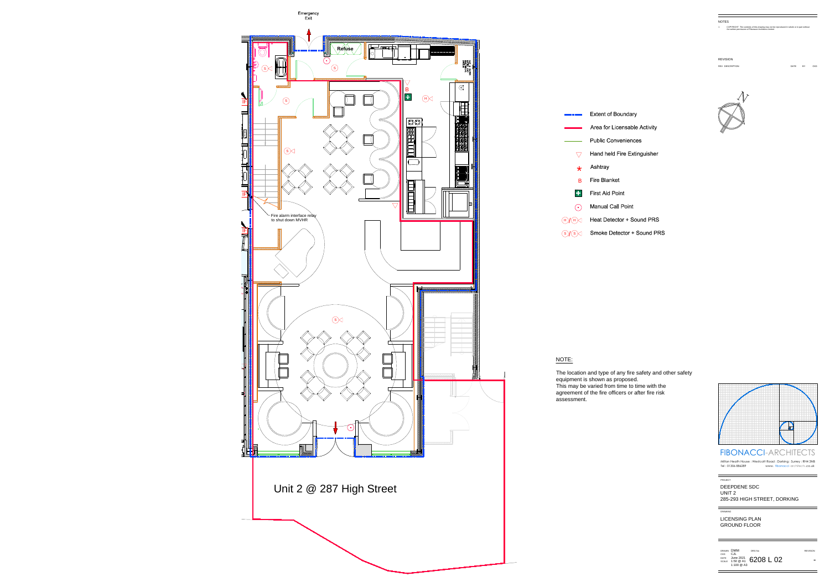

### NOTE:

1 COPYRIGHT The contents of this drawing may not be reproduced in whole or in part without the WATER<br>The COPYRIGHT The contents of this drawing may not be reprod.<br>The written permission of Fibonacci-Architects Limited

REVISION<br>REV DESCRIP

The location and type of any fire safety and other safety equipment is shown as proposed. This may be varied from time to time with the agreement of the fire officers or after fire risk assessment.

![](_page_0_Figure_1.jpeg)

DATE BY CKD

![](_page_0_Picture_8.jpeg)

![](_page_0_Figure_16.jpeg)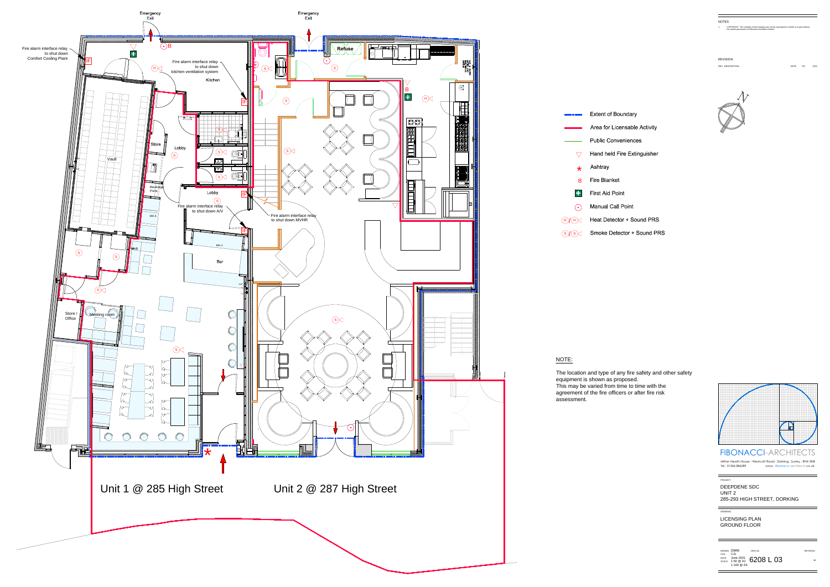![](_page_1_Figure_0.jpeg)

1 COPYRIGHT The contents of this drawing may not be reproduced in whole or in part without the WATER<br>The COPYRIGHT The contents of this drawing may not be reprod.<br>The written permission of Fibonacci-Architects Limited

**REVISION** 

## NOTE:

The location and type of any fire safety and other safety equipment is shown as proposed. This may be varied from time to time with the agreement of the fire officers or after fire risk assessment.

![](_page_1_Figure_1.jpeg)

DATE BY CKD

![](_page_1_Picture_8.jpeg)

![](_page_1_Figure_16.jpeg)